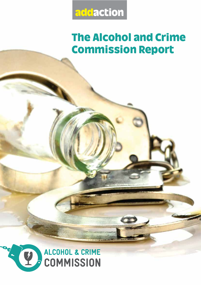

# <u>Commission Denort</u> commission Report

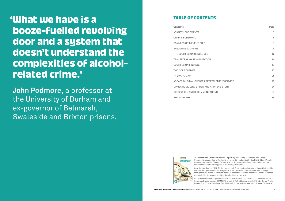**The Alcohol and Crime Commission Report** is produced by the Alcohol and Crime Commission, supported by Addaction 3

#### **TABLE OF CONTENTS** TABLE OF CONTENTS

| Contents                                    | Page           |
|---------------------------------------------|----------------|
| <b>ACKNOWLEDGEMENTS</b>                     | 5              |
| <b>CHAIR'S FOREWORD</b>                     | 6              |
| <b>COMMISSION MEMBERSHIP</b>                | $\overline{7}$ |
| <b>EXECUTIVE SUMMARY</b>                    | 9              |
| THE COMMISSION CONCLUDES                    | 12             |
| TRANSFORMING REHABILITATION                 | 14             |
| <b>COMMISSION FINDINGS</b>                  | 17             |
| <b>TWO CORE THEMES</b>                      | 27             |
| THEMATIC MAP                                | 28             |
| ADDACTION'S MANCHESTER RESETTLEMENT SERVICE | 29             |
| DOMESTIC VIOLENCE - BEN AND ANDREA'S STORY  | 34             |
| CONCLUSION AND RECOMMENDATIONS              | 37             |
| <b>BIBLIOGRAPHY</b>                         | 38             |
|                                             |                |

For further information please contact Gloria Simon on 0207 017 2721. Addaction 67-69 Cowcross Street, London EC1M 6PU, e-mail: info@addaction.org.uk. Print by Claren Print, Units 4 & 5, G3 Business Park, Dolphin Road, Shoreham-by-Sea, West Sussex, BN43 6AN.

**The Alcohol and Crime Commission Report** is produced by the Alcohol and Crime Commission, supported by Addaction. It is written and edited by Sophie Kydd and Natalie Roe and designed by Sheran Forbes. Special thanks to John Podmore for chairing the commission and for his support in producing the report.

# 'What we have is a<br>booze-fuelled revolving door and a system that doesn't understand the complexities of alcoholrelated crime.' related crime.'

Copyright Addaction 2014. All rights reserved. Reproduction in whole or in part is forbidden without prior permission. All images are posed by models. Names have been changed throughout the report. Addaction does not accept unsolicited material and cannot accept responsibility for any material that is submitted in this way.



**John Podmore**, a professor at the University of Durham and ex-governor of Belmarsh, Swaleside and Brixton prisons.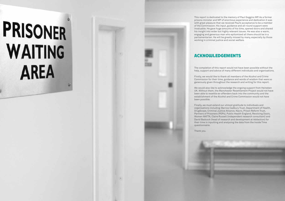# PRISONER WAITING **AREA**



This report is dedicated to the memory of Paul Goggins MP. As a former prisons minister and MP of enormous experience and dedication it was with great pleasure that we received Paul's acceptance to be a member of the Commission. His input, guidance and all-round support were invaluable. He gave huge amounts of his time, opened doors and shared his insight into wider but highly relevant issues. He was also a warm, engaging and generous man who epitomised all there should be in a parliamentarian. He will be greatly missed by many, especially by those working in criminal justice and social welfare.

The completion of this report would not have been possible without the help, support and advice of many different individuals and organisations.

Firstly, we would like to thank all members of the Alcohol and Crime Commission for their time, guidance and words of wisdom that were so generously given throughout the research and writing for this report.

We would also like to acknowledge the ongoing support from Heineken UK. Without them, the Manchester Resettlement Project would not have been able to resettle ex-offenders back into the community and the establishment of the Alcohol and Crime Commission would not have been possible.

Finally, we must extend our utmost gratitude to individuals and organisations including: Barrow Cadbury Trust, Department of Health, DrugScope, Criminal Justice Alliance, Nacro, Prison Reform Trust, Partners of Prisoners (POPs), Public Health England, Revolving Doors, Women MATTA, Claire Russell (independent research consultant) and David Badcock (head of research and development at Addaction) for their time in inputting and analysing the data from the Inside Time questionnaire.

Thank you.

#### **ACKNOWLEDGEMENTS** ACCEPT CERTAINS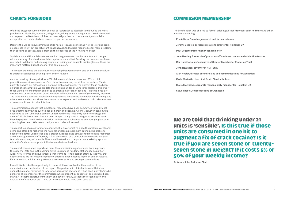#### **COMMISSION MEMBERSHIP** COMMISSION MEMBERSHIP

The commission was chaired by former prison governor **Professor John Podmore** and other members including:

#### **CHAIR'S FOREWORD** CHAIR'S FOREWORD

- **• Eric Allison,Guardian journalist and former prisoner**
- **• Jeremy Beadles, corporate relations director for Heineken UK**
- **• Paul Goggins MP,former prisons minister**
- **• John Harding,former chief probation officer Inner London and Addaction trustee**
- **• Roz Hamilton, chief executive of Greater Manchester Probation Trust**
- **• John Hewitson, governor of HMP Styal**
- **• Alan Hopley, director of fundraising and communications for Addaction.**
- **• Kevin McGrath, chair of McGrath Charitable Trust**
- **• Claire Matthews, corporate responsibility manager for Heineken UK**
- **• Steve Rossell, chief executive of Cranstoun**

50% of your weekly income?

Of all the drugs consumed within society, our approach to alcohol stands out as the most problematic. Alcohol is, above all, a legal drug; widely available, regulated, taxed, promoted and enjoyed. Unlike tobacco, it has not been stigmatised – it remains not just socially acceptable, but celebrated and revered as part of our culture.

Despite this we do know something of its harms. It causes cancer as well as liver and brain disease. We know, but are reluctant to acknowledge, that it is responsible for more problems than cocaine or ecstasy. It is a drain on the resources of the NHS like no other.

Such human and financial costs are not lost on government but its reluctance to tamper with something of such wide social acceptance is manifest. Tackling the problem has been restricted to debates on licensing hours, unit pricing and sensible drinking levels. These are important matters but not ones for this commission.

This report examines the particular relationship between alcohol and crime and our failure to address such issues both in prison and on release.

Alcohol is a drug of many victims: 40% of domestic violence cases and 50% of child protection cases involve alcohol. Such data, however, only scratches the surface. This is partly to do with our difficulties in defining problem drinking. The primary focus has been on units of consumption. We are told that drinking under 21 units is 'sensible'. Is this true if those units are consumed in one hit to augment a fix of crack cocaine? Is it true if you are seven stone or twenty-seven stone in weight? If it costs 5% or 50% of your weekly income? The relationship between alcohol consumption and behaviours is complex but the one place where we should expect those behaviours to be explored and understood is in prison as part of any commitment to rehabilitation.

This commission accepts that substantial resources have been committed to traditional drug treatment involving such things as heroin and cocaine. Alcohol, however, can only be described as the 'Cinderella' service, underlined by the frequently used term 'drugs and alcohol'. Alcohol treatment has not been integral to any drug strategy and services have been largely restricted to detoxification. Addressing alcohol use as an underlying factor in offending has been little researched, understood or addressed.

This report is not a plea for more resources. It is an attempt to place the problems of alcohol crime and offending higher up the national and local government agenda. The problem needs to be better understood and a proper evidence base established if existing resources are to be targeted more effectively. A first step would be a comprehensive needs analysis. Our prisoner survey with Inside Time is an illustration of the gaps in our existing approach. Addaction's Manchester project illustrates what can be done.

This report comes at an opportune time. The commissioning of services both in prison, through-the-gate and in the community is undergoing fundamental change as part of wider NHS reforms and government's Transforming Rehabilitation strategy. It is vital that opportunities are not missed to properly address alcohol issues in prison and on release. Failure to do so will harm any attempts to create safer and stronger communities.

I would like to take the opportunity to thank all those involved in the creation of the commission and publication of the report. The partnership of Addaction and Heineken should be a model for future co-operation across the sector and it has been a privilege to be part of it. The members of the commission who represent all aspects of society have been stalwart in their support, commitment and advice. Finally, without the organisation and dedication of Addaction staff none of this report would have been possible.

50% of your weekly income? **Professor John Podmore, Chair**

## We are told that drinking under 21<br>units is 'sensible'. Is this true if those units are consumed in one hit to augment a fix of crack cocaine? Is it true if you are seven stone or twentyseven stone in weight? If it costs 5% or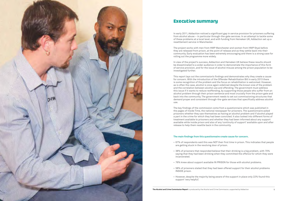

#### Executive summary

In early 2011, Addaction noticed a significant gap in service provision for prisoners suffering from alcohol abuse – in particular through-the-gate services. In an attempt to tackle some of these problems at a local level, and with funding from Heineken UK, Addaction set up a resettlement service in Manchester.

The project works with men from HMP Manchester and women from HMP Styal before they are released from prison, at the point of release and as they settle back into their community. Early evaluation has been extremely encouraging and there is a strong case for rolling out the programme more widely.

In view of the project's success, Addaction and Heineken UK believe these results should be disseminated to a wider audience in order to demonstrate the importance of this form of service provision, and for the issue of alcohol misuse among the prison population to be investigated further.

This report lays out the commission's findings and demonstrates why they create a cause for concern. With the introduction of the Offender Rehabilitation Bill in early 2013 there is some recognition of the problem and the focus on rehabilitation is welcomed. However, as is often the case, alcohol is once again sidelined despite the known size of the problem and the correlation between alcohol use and offending. The government must address this issue if it wants to reduce reoffending, by supporting those people who suffer from an alcohol problem through their prison sentence and most crucially from the prison gate and back into the community. The government needs to set out commissioning structures that demand proper and consistent through-the-gate services that specifically address alcohol use.

The key findings of the commission come from a questionnaire which was published in the pages of Inside Time, the national newspaper for prisoners. The questionnaire asked prisoners whether they saw themselves as having an alcohol problem and if alcohol played a part in the crime for which they had been convicted. It also looked into different forms of treatment available to prisoners and whether they had been informed about any support available while inside prison and also of any 'continuity of support' available upon and after release to help them resettle back in the community.

#### **The main findings from this questionnaire create cause for concern.**

• 38% of prisoners that responded believe that their drinking is a big problem, with 70% saying that they had been drinking when they committed the offence for which they were

• 76% knew about support available IN PRISON for those with alcohol problems.

• 58% of prisoners stated that they had been offered support for their alcohol problems

• However, despite the majority being aware of the support in place only 22% found this

- are getting stuck in the revolving door of prison.
- incarcerated.
- 
- INSIDE prison.
- support 'very helpful'.

The Alcohol and Crime Commission Report is produced by the Alcohol and Crime Commission, supported by Addaction



• 67% of respondents said this was NOT their first time in prison. This indicates that people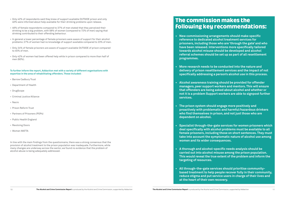### <u>The commission makes are </u> following key recommendations:

**• New commissioning arrangements should make specific reference to dedicated alcohol treatment services for prisoners, including those who are 'through the gate' and who have been released. Interventions more specifically tailored towards alcohol misuse should be developed and alcohol referral schemes should be set up as part of all resettlement**

**• More research needs to be conducted into the nature and delivery of prison resettlement services and the impact of not specifically addressing a person's alcohol use in this process.**

**• Alcohol awareness training should be provided for offender managers, peer support workers and mentors.This will ensure that offenders are being asked about alcohol and whether or not it is a problem Support workers are able to signpost further**

**• The prison system should engage more positively and proactively with problematic and harmful/hazardous drinkers who find themselves in prison, and not just those who are**

- **programmes.**
- 
- **services.**
- **dependent on alcohol.**
- **women and its wider consequences.**
- **targeting of resources.**
- **at the heart of their own recovery.**

**• Specialist through-the-gate services for women prisoners which deal specifically with alcohol problems must be available to all female prisoners, including those on short sentences.They must take into account the symptomatic nature of alcohol use among**

- Barrow Cadbury Trust
- • Department of Health
- • DrugScope
- • Criminal Justice Alliance
- • Nacro
- • Prison Reform Trust
- Partners of Prisoners (POPs)
- • Public Health England
- Revolving Doors
- • Women MATTA

**• A thorough and alcohol-specific needs analysis should be carried out into alcohol misuse among the prison population. This would reveal the true extent of the problem and inform the**

**• All through-the-gate services should prioritise communitybased treatment to help people recover fully in their community, reduce stigma and put service users in charge of their lives and**

- • Only 42% of respondents said they knew of support available OUTSIDE prison and only 40% were informed about help available for their drinking problems upon release.
- • 46% of female respondents compared to 37% of men stated that they perceived their drinking to be a big problem, with 58% of women (compared to 72% of men) saying that drinking contributed to their offending behaviour.
- In general a lower percentage of female prisoners were aware of support for their alcohol problems: 27% of women had no knowledge of support available compared to 23% of men.
- • Only 24% of female prisoners are aware of support available OUTSIDE of prison compared to 45% of men.
- • Only 42% of women had been offered help while in prison compared to more than half of men (60%).

**To further inform the report,Addaction met with a variety of different organisations with expertise in the area of rehabilitating offenders.These included:**

In line with the main findings from the questionnaire, there was a strong consensus that the provision of alcohol treatment to the prison population was inadequate. Furthermore, while many changes are underway across the sector, we found no evidence that the problem of alcohol abuse is being adequately addressed.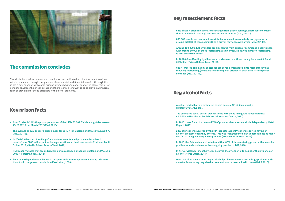

#### The commission concludes The commission concludes

The alcohol and crime commission concludes that dedicated alcohol treatment services within prison and through-the-gate are of clear social and financial benefit. Although this is not a new concept, with some prisons already having alcohol support in place, this is not consistent across the prison estate and there is still a long way to go to provide a universal form of provision for those prisoners with alcohol problems.

#### Key prison facts

- **• As of 31March 2013 the prison population of the UK is 83,769.This is a slight decrease of 4% (3,762) from March 2012 (MoJ, 2013c).**
- **• The average annual cost of a prison place for 2010-11 in England and Wales was £39,573 (MoJ, 2011a).**
- **• In 2008-09 the cost of looking after short-term sentenced prisoners (less than 12 months) was £286 million, not including education and healthcare costs (National Audit Office, 2012, cited in Prison Reform Trust, 2012).**
- **• HM Treasury states that around £4.1billion was spent on prisons in England and Wales in 2010-11 (Berman et al, 2012).**
- **• Substance dependence is known to be up to 10 times more prevalent among prisoners than it is in the general population (Fazel et al., 2006).**

#### Key resettlement facts

**• 58% of adult offenders who are discharged from prison serving a short sentence (less**

**• 630,000 people are cautioned, convicted or released from custody every year, with around 170,000 of these committing a proven reoffence with a year (MOJ, 2013a).**

**• Around 190,000 adult offenders are discharged from prison or commence a court order, with around 69,000 of these reoffending within a year.This gives a proven reoffending**

- **than 12 months in custody) reoffend within 12 months (MoJ, 2013b).**
- 
- **rate of 36% (MoJ, 2013a).**
- **£13billion (Prison Reform Trust, 2012).**
- **sentence (MoJ, 2011b).**

**• In 2007-08 reoffending by all recent ex-prisoners cost the economy between £9.5 and**

**• Court-ordered community sentences are seven percentage points more effective at reducing reoffending (with a matched sample of offenders) than a short-term prison**

#### Key alcohol facts

**• The estimated social cost of alcohol to the NHS alone in England is estimated at**

**• In 2010 it was found that around 7% of prisoners had a severe alcohol dependency (Patel**

- **• Alcohol-related harm is estimated to cost society £21billion annually (HM Government, 2012).**
- **£2.7billion (Health and Social Care Information Centre, 2012).**
- **Report, 2010).**
- **will fail to recognise they have a problem (Prison Reform Trust, 2012).**
- **problem would also leave with an ongoing problem (HMIP, 2010).**
- **alcohol (Home Office, 2011).**
- 

**• 22% of prisoners surveyed by the HM Inspectorate of Prisoners reported having an alcohol problem when they entered.This was recognised to be an underestimate as many**

**• In 2010, the Prisons Inspectorate found that 60% of those entering prison with an alcohol**

**• In 44% of violent crimes the victim believed the offender(s) to be under the influence of**

**• Over half of prisoners reporting an alcohol problem also reported a drugs problem, with an extra 44% stating they also had an emotional or mental health issue (HMIP, 2010).**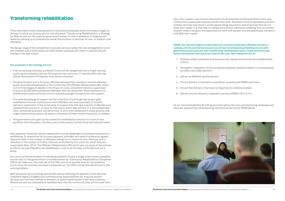#### Transforming rehabilitation

There have been recent developments in the justice landscape which will impact hugely on the way in which our prisons are run and delivered. 'Transforming Rehabilitation: a Strategy for Reform' laid out the coalition government's plans to reform probation in England and Wales by opening up to competitive tender the provision of services for low- to medium-risk offenders.

The design stage of the competition to provide services under the new arrangements is not yet complete and a fuller picture of what certain proposals will mean in practice should emerge in the near future.

#### **Key proposals in the strategy set out:**

- • That the existing individual probation trusts will be reorganised into a single national public sector probation service. This was put into motion on 17 January 2014 with the official Termination of Probation Trust Service Contract.
- The government's aim is for every offender released from custody to receive statutory supervision and rehabilitation in the community. The Offender Rehabilitation Bill, which is in its final stages of debate in the House of Lords, will extend statutory supervision to around 50,000 short sentenced offenders who will serve their whole sentence in a resettlement prison and come out to a tailored package of supervision and support.
- • This tailored package of support will be in the form of a through-the-prison-gate resettlement service. It will ensure most offenders will receive at least 12 months' statutory supervision in the community. To support this, the vast majority of offenders are released from prisons in, or close to, the area in which they will live. It is anticipated that short-sentenced prisoners will serve most or all of their sentences in these prisons, and longer sentenced prisoners will spend a minimum of three months there prior to release.
- The government will open up the market for rehabilitation services to a host of new providers from the public, voluntary and private sectors, at both local and national levels.

New payment incentives will be created which will be dependent on achieved reductions in reoffending. To receive the full success payment, providers will need to achieve an agreed reduction both in the number of offenders who go on to commit further offences, and a reduction in the number of further offences committed by the cohort for which they are responsible (MoJ, 2014). The Offender Rehabilitation Bill which sets out many of the policies to reform the way offenders are rehabilitated, is yet to be formally confirmed and put in place.

As a result of the termination of individual probation trusts, a single public sector probation service and 21 new government-run bodies known as 'Community Rehabilitation Companies' (CRCs) will take over. The main job of the CRCs will be to provide work for the probation trusts. Once the business has been contracted out, the CRCs will be transferred over to the winning bidders.

With particular focus on drugs and alcohol policy, following the abolition of the National Treatment Agency, budgets and commissioning responsibilities for drug and alcohol services has now been shifted to directors of public health based in the local authority. When prisoners are released and resettled back into the community they will be under their care. This creates a real concern that there will be potential for disinvestment in this area, unless there is particular advocacy at the local level. Therefore, a lack of specialist provision of these services may result in some people being required to attend services that do not meet their needs. It is vital that on release from prison individuals suffering from an alcohol problem need to be given the opportunity to work with people who are specifically trained to look after their needs.

#### **NOMS, the executive agency responsible for commissioning adult offender services in custody and the community, issued a set of new commissioning intentions in line with government policy and the new transforming rehabilitation plans.These priorities help**

**define the services that will be provided in the end.Their intentions are to:**

1. Enhance public protection and ensure a safe, decent environment and rehabilitative

2. Strengthen integration of service delivery between directly funded, co-commissioned

- culture.
- providers and wider partners.
- 3. Deliver an efficient, quality service.
- 
- 5. Ensure that delivery of services is responsive to individual needs.
- 6. Deliver priority national or specialist services (NOMS, 2013, 9-11).

4. Ensure delivery is matched to population, purpose and NOMS outcomes.

All our recommendations fit with government policy, the new commissioning landscape and the main overarching commissioning intentions as set out by NOMS above.

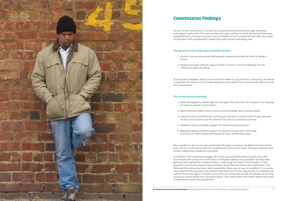

#### Commission findings

As part of the commission, a survey was conducted with prisoners through the prison newspaper, Inside Time. This was carried out to get a picture of what alcohol services were being offered to prisoners in prison and on release, to try to understand whether the needs of prisoners with a problematic relationship with alcohol was being met.

#### **The key aims of the survey were to identify whether:**

1. Alcohol use was associated with people's experiences that led them to being in

2. People have been offered support either in prison or whilst resettling into the

- prison.
- community after discharge.

A survey was designed, taking into account the need for succinctness, anonymity, the ability to quantify the results and to enable people to enter detail that authentically reflected their own experiences.

#### **The survey structure included:**

1. Basic demographic details (gender and age). Ethnicity was not included in an attempt

- to reassure people of anonymity.
- 
- 
- 
- 

2. Basic questions about time in prison and knowledge about release dates.

3. Questions about problematic drinking and the level of relationship (if any) between alcohol consumption and the offense that led to a custodial sentence.

4. Questions about available support for alcohol misuse in prison.

5. Questions about available support for alcohol misuse upon discharge. A mixture of Likert scales and spaces for open-ended responses.

Face validity for the survey was established through circulation, feedback and discussion over a three-month period with the resettlement commission team, Professor Graham Towl and an independent research consultant.

In relation to the sampling strategy, the survey was published and prisoners were able to complete the survey and send it back. A freepost address was provided. Surveys were gathered and entered by a research team, comprising volunteers. The limitation of this approach was the assumption that prisoners would have access to and read Inside Time. Although the publication has a wide readership, there was no way to establish if the survey issue reached all prisoners and whether they had time and the opportunity to complete and submit the survey. Again to protect anonymity, the survey did not ask for details concerning prisons or prison wings from the participants. This means that information about the scope of distribution could not be gathered.

The Alcohol and Crime Commission Report is produced by the Alcohol and Crime Commission, supported by Addaction 17

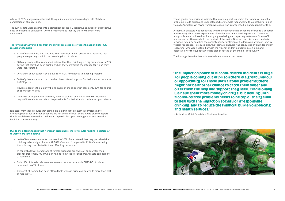A total of 267 surveys were returned. The quality of completion was high with 99% total completion of all questions.

The survey data were entered into a statistical package. Descriptive analyses of quantitative data and thematic analyses of written responses, to identify the key themes, were conducted.

#### **The key quantitative findings from the survey are listed below (see the appendix for full results and tables):**

- • 67% of respondents said this was NOT their first time in prison. This indicates that people are getting stuck in the revolving door of prison.
- • 38% of prisoners that responded believe that their drinking is a big problem, with 70% saying that they had been drinking when they committed the offence for which they were incarcerated.
- • 76% knew about support available IN PRISON for those with alcohol problems.
- 58% of prisoners stated that they had been offered support for their alcohol problems INSIDE prison.
- However, despite the majority being aware of the support in place only 22% found this support 'very helpful'.
- • Only 42% of respondents said they knew of support available OUTSIDE prison and only 40% were informed about help available for their drinking problems upon release.

It is clear from these results that drinking is a significant problem in contributing to offending behaviour and that prisoners are not being offered, or are aware of, the support that is available to them when inside and in particular upon leaving prison and resettling back into the community.

'The impact on police of alcohol-related incidents is huge. of opportunity for those with alcohol problems; there might not be another chance to catch them sober and offer them the help and support they need. Traditionally we have spent more money on drugs, but dealing with alcohol-related problems needs to be top of the agenda to deal with the impact on society of irresponsible drinking, and to reduce the financial burden on policing

#### **Due to the differing needs that women in prison have, the key results relating in particular to women are listed below:**

- • 46% of female respondents compared to 37% of men stated that they perceived their drinking to be a big problem, with 58% of women (compared to 72% of men) saying that drinking contributed to their offending behaviour.
- • In general a lower percentage of female prisoners are aware of support for their alcohol problems: 27% of women had no knowledge of support available compared to 23% of men.
- Only 24% of female prisoners are aware of support available OUTSIDE of prison compared to 45% of men.
- Only 42% of women had been offered help while in prison compared to more than half of men (60%).

These gender comparisons indicate that more support is needed for women with alcohol problems inside prison and upon release. More female respondents thought their drinking was a big problem yet fewer women were receiving appropriate help and support for this.

A thematic analysis was conducted with the responses that prisoners offered to a question in the survey about their experiences of alcohol treatment service provision. Thematic analysis is a method used for identifying, analysing and reporting patterns or 'themes' in spoken and written words. In the context of the Inside Time survey, this type of analysis provided rigour by enabling the consistent interpretation of the large quantities of lengthy written responses. To reduce bias, the thematic analysis was conducted by an independent researcher who was not familiar with the Alcohol and Crime Commission aims and objectives, nor the quantitative data also collected by the Inside Times survey.

The findings from the thematic analysis are summarised below.

# and health services.'

and health services.' – Adrian Lee, Chief Constable, Northamptonshire

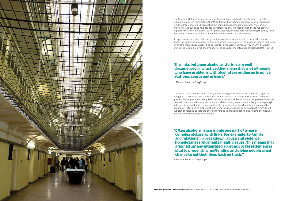

The Offender Rehabilitation Bill Impact Assessment devotes little attention to alcohol, focusing mainly on the treatment of 'traditional' drug-using prisoners. Such an approach is difficult to understand, given that the same impact assessment states the number of prisoners requesting help for drug problems is only 4% higher than those requesting support for alcohol problems. Such figures also rely on prisoners recognising that they have a problem, something which is much less common with alcohol misuse.

#### 'The links between alcohol and crime are well documented. In practice, they mean that a lot of people who have problems with alcohol are ending up in police who have problems with alcohol are enamely up in police.<br>Stations courts and prisons ' stations, courts and prisons. '

It is generally accepted that a large majority of crimes are committed while the person is under the influence of alcohol (something which is reflected in the views of victims and from offenders themselves). According to results in the British Crime Survey, in 44% of violent crimes the victim believed the offender(s) to be under the influence of alcohol (HMIP, 2010).

''Often alcohol misuse is only one part of a more and relationship breakdown, abuse and violence, homelessness and mental health issues. This means that a 'joined up' and integrated approach to resettlement is vital to preventing reoffending and giving people a real chance to get their lives back on track."

**– Marcus Roberts,DrugScope**

Moreover, a lack of education, patchy work history, no formal address and the stigma of being both a 'criminal' and a substance abuser means that many in this group face even greater challenges and are regularly passed over by both landlords and employers. It follows that, without secure income and accommodation, many are also more likely to sleep rough. In turn, they are not able to fully reintegrate back into society, which then increases their chances of returning to problematic drinking, and consequently criminal activity. Without support on release people are quickly reverting to previous habits and finding themselves back in the vicious cycle of offending.

chance to get their lives back on track.'' **– Marcus Roberts,DrugScope**

The Alcohol and Crime Commission Report is produced by the Alcohol and Crime Commission, supported by Addaction 21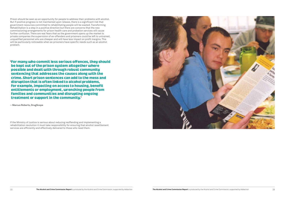'For many who commit less serious offences, they should possible and dealt with through robust community sentencing that addresses the causes along with the crime. Short prison sentences can add to the mess and disruption that is often linked to alcohol problems, for example, impacting on access to housing, benefit entitlements or employment, wrenching people from families and communities and disrupting ongoing families and communities and disrupting ongoing treatment or support in the community.

Prison should be seen as an opportunity for people to address their problems with alcohol. But if positive progress is not maintained upon release, there is a significant risk that government resources committed to rehabilitating people will be wasted. Transforming Rehabilitation is a step in a positive direction but there are concerns that the new commissioning arrangements for prison health care and probation services will cause further confusion. There are real fears that as the government opens up the market to private companies the supervision of ex-offenders and prisoners could be left to untrained, unqualified personnel who are cheaper and will have less impact on profit margins. This will be particularly noticeable when ex-prisoners have specific needs such as an alcohol problem.

**– Marcus Roberts,DrugScope**

If the Ministry of Justice is serious about reducing reoffending and implementing a rehabilitation revolution it must take responsibility for ensuring that alcohol resettlement services are efficiently and effectively delivered to those who need them.

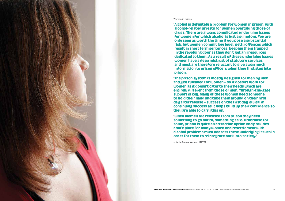#### 'Alcohol is definitely a problem for women in prison, with drugs. There are always complicated underlying issues for women for which alcohol is just a symptom. You are only seen as worth the time if you pose a substantial risk, but women commit low level, petty offences which result in short term sentences, keeping them trapped in the revolving door as they don't get any resources dedicated to them. As a result of these underlying issues women have a deep mistrust of statutory services and most are therefore reluctant to give away much information to prison officers when they first step into



#### Women in prison

information to prison officers when they first step into<br>hrison

'The prison system is mostly designed for men by men and just tweaked for women - so it doesn't work for uomen as it doesn't cater to their needs which are entirely different from those of men. Through-the-gate support is key. Many of these women need someone to hold their hand and take them around on their first day after release - success on the first day is vital in continuing success as it helps build up their confidence so they are able to carry this on.

the two are released from prison they need<br>something to go out to, something safe. Otherwise for some, prison is quite an attractive option and provides a safe place for many women and resettlement with alcohol problems must address these underlying issues in arcohol problems must address these undergoing issues in order for them to reintegrate back into society. '

**– Katie Fraser, Women MATTA**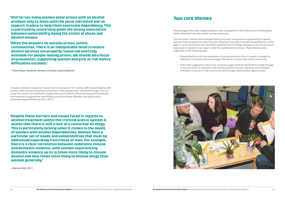'Still far too many women enter prison with an alcohol support in place to help them overcome dependency. This is particularly concerning given the strong association between vulnerability, being the victim of abuse and alcohol misuse.

'Often the answers lie outside prison, within communities. There is an indisputable need to ensure alcohol services are properly resourced and truly available for people leaving prison. We should also focus on prevention, supporting women and girls at risk before difficulties escalate.' different established and the contract of the contract of the contract of  $\mathcal{L}$ 

**– Vicki Helyar-Cardwell, director, Criminal Justice Alliance**

#### **Two core themes** Two core themes

A recent probation inspection found that in a sample of 107 women, 59% had problems with alcohol, with alcohol being more prominent in the sample than 'traditional' drugs. This is a cause for concern as treatment programmes are limited for those serving short sentences and treatment programmes specifically aimed at female offenders are particularly underdeveloped (McMurran et al, 2011).

• Articulate suggestions about the numerous opportunities identified to bridge the gap in the provision of treatment that tackles alcohol misuse in general, and amongst offenders in prison, in the community and through resettlement opportunities.

'Despite these barriers and issues faced in regards to seems that there is still a lack of a concerted strategy. This is particularly lacking when it comes to the needs of women with alcohol dependencies. Women have a particular set of needs and pulnerabilities that must be addressed separately from those of men. For example. there is a clear correlation between substance misuse and domestic violence, with women experiencing domestic violence up to 15 times more likely to misuse alcohol and nine times more likely to misuse drugs than alcohol and nine times more likely to misuse arage than<br>Illoman ganarallu <sup>)</sup> women generally.'

**– Women's Aid, 2011**

Interestingly, there was indeed a pattern that emerged from the rich source of informative detail collected from the written survey responses.

The two major themes that emerged when prisoners were given an opportunity to openly express their perspectives about alcohol treatment services included dissatisfaction at the gaps in service provision and identified opportunities to bridge the gaps in service provision, especially in relation to an urgent need for resettlement services. These themes were organised in the following way:

- 
- 



 • Dissatisfaction with the experience of service provision that is meant to support a reduction in alcohol misuse amongst offenders in prison and in the community.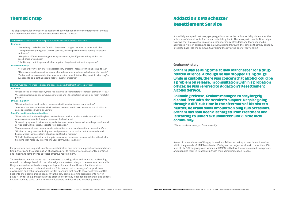#### Thematic map

The diagram provides verbatim quotations that evidenced the clear emergence of the two core themes upon which prisoner responses tended to focus.

For prisoners, peer support (mentors), rehabilitation and recovery support, accommodation, finding work and the coordination of services prior to release were consistently identified and important components to foster effective resettlement.

This evidence demonstrates that the answers to cutting crime and reducing reoffending rates do not always lie within the criminal justice system. Many of the solutions lie outside the justice system within housing, employment, mental health care, family services and drug and alcohol treatment services. This means that a package of support from government and voluntary agencies is vital to ensure that people can effectively resettle back into their communities again. With the new commissioning arrangements now in place it is vital to align these with the priorities of the key local decision makers and budget holders, such as police and crime commissioners and health and wellbeing boards.

#### **Addaction's Manchester** Resettlement Service <u>Resetting Service</u>

#### **Theme One:** Dissatisfaction at the gap in alcohol treatment service provision

#### **In prison:**

"Even though I asked to see CARATS, they weren't supportive when it came to alcohol." "I completed everything that CARATS gave me, in a cell pack there was nothing for alcohol problems."

"The prison offered me nothing for being an alcoholic, but if you are a drug addict, the possibilities are endless."

"I had to say I took drugs, not alcohol, to get on the prison treatment programme."

#### **In the community:**

#### Graham was serving time at HMP Manchester for a drugwhile in custody, there was concern that alcohol could be a problem on release. In consultation with his probation officer, he was referred to Addaction's Resettlement

#### Following release, Graham managed to stay largely alcohol-free with the service's support. Despite going through a difficult time in the aftermath of his sister's murder, he drank small amounts on only two occasions. Graham has now been discharged from treatment and is starting to undertake volunteer work in the local

"It was hard even to get a GP to understand my problem. I feel as if I'm being set up to fail." "There is not much support for people after release who are chronic alcoholics like myself." "Probation focuses on retribution too much, not on rehabilitation. They don't do what they're supposed to do in getting people help for alcohol problems."

#### **Theme Two:** Opportunities to bridge the gaps in alcohol treatment service provision

#### **In prison:**

"Prisons need alcohol support, more facilitators and coordinators to increase provision for all." "Accessible alcoholics anonymous, peer groups and life skills training would be really helpful in prisons."

#### **In the community:**

"Housing, hostels, rehab and dry houses are badly needed in most communities."

"Peer support by ex-offenders who have been released and have experienced the pitfalls and gains once released would be useful."

#### **Specific resettlement opportunities:**

"More information should be given to offenders to provide rehabs, hostels, rehabilitation centres and independent support groups in the local area."

"A joined-up approach before, during and after resettlement is needed, including a confidential service that will be entirely separate from probation."

"Awareness about resettlement needs to be delivered and coordinated from inside the Wall."

"Alcohol recovery involves finding work and proper accommodation. Not Accommodation in hostels where there are plenty of junkies and trouble makers."

"Initially just being picked up at the gate by a mentor or sponsor or somebody from the alcohol field who then helps you to settle into your community could help."

It is widely accepted that many people get involved with criminal activity while under the influence of alcohol, or to fuel an untreated drug habit. The survey with Inside Time helps to prove that link. Alcohol is a serious issue for many offenders; one that needs to be addressed while in prison and crucially, maintained through-the-gate so that they can fully integrate back into the community, avoiding the revolving door of reoffending.

**Graham's\* story**

Alcohol Service.

communitu. community.

*\*Name has been changed for anonymity* 

Aware of this and aware of the gap in services, Addaction set up a resettlement service within the grounds of HMP Manchester. Each year the project works with more than 300 men at HMP Strangeways and women at HMP Styal before they are released from prison, and supports them in reintegrating with their community upon release.

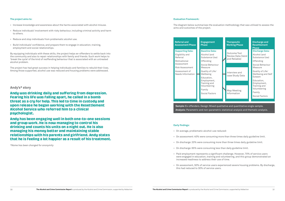#### **The project aims to:**

- • Increase knowledge and awareness about the harms associated with alcohol misuse.
- • Reduce individuals' involvement with risky behaviour, including criminal activity and harm to others.
- Reduce and stop individuals from problematic alcohol use.
- Build individuals' confidence, and prepare them to engage in education, training, employment and social relationships.

By equipping individuals with these skills, the project helps ex-offenders to settle back into the community and also to repair relationships with family and friends. Such work helps to 'break the cycle' of the kind of reoffending behaviour that is associated with an untreated alcohol problem.

Andy has been engaging well in both one-to-one sessions and group work. He is now managing to control his drinking and counts his units on a night out. He is also managing his money better and maintaining stable relationships with his parents and girlfriend. Andy states that he is feeling a lot happier as a result of his treatment. that he is feeling a lot happier as a result of his treatment.

The project has had great success in helping individuals and families to rebuild their lives. Among those supported, alcohol use was reduced and housing problems were addressed.

#### **Andy's\* story**

Andy was drinking daily and suffering from depression.<br>Fearing his life was falling apart, he called in a bomb threat as a cru for help. This led to time in custody and upon release he began working with the Resettlement Alcohol Service who referred him to a clinical psychologist.

*\*Name has been changed for anonymity* 

#### **Evaluation Framework:**

#### The diagram below summarises the evaluation methodology that was utilised to assess the

aims and outcomes of the project.

#### **Early findings:**

- • On average, problematic alcohol-use reduced:
- • On assessment: 40% were consuming more than three times daily guideline limit.
- On discharge: 20% were consuming more than three times daily guideline limit.
- On discharge: 65% were consuming less than daily guideline limit.
- Paid employment represents a significant challenge. However, 70% of service users were engaged in education, training and volunteering, and this group demonstrated an increased readiness to address their use of time.
- this had reduced to 30% of service users.

**Sample:**Ex-offenders. Design: Mixed qualitative and quantitative single sample. **Analysis:** Parametric and non-parametric statistical analysis and thematic analysis.

| <b>Referral and</b><br><b>Assessment Phase</b> | <b>Engagement</b><br><b>Phase</b>                         |
|------------------------------------------------|-----------------------------------------------------------|
| <b>Supporting Data:</b>                        | <b>Baseline Data</b>                                      |
| Eligibility and<br>Referral                    | Alcohol (and<br>Substance Us                              |
| Motivational                                   | Offending                                                 |
| Assessment                                     | Social Behavid                                            |
| Risk Assessment                                | Measure                                                   |
| Assessment of<br>Needs Information             | Quality of Life,<br>Wellbeing                             |
|                                                | Education,<br>Employment,<br>Training and<br>Volunteering |
|                                                | Family                                                    |
|                                                | <b>Social Factors</b>                                     |
|                                                |                                                           |
|                                                |                                                           |



• On assessment, 50% of service users experienced severe housing problems. By discharge,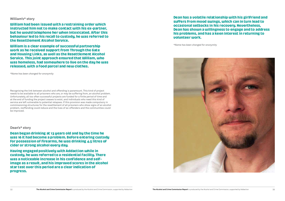#### **William's\* story**

William had been issued with a restraining order which<br>instructed him not to make contact with his ex-partner. but he would telephone her when intoxicated. After this behaviour led to his recall to custody, he was referred to the Resettlement Alcohol Service.

William is a clear example of successful partnership work as he received support from Through the Gate and Housing Links, as well as the Resettlement Alcohol Service. This joint approach ensured that William, who uas homeless, had somewhere to live on the day he was released, with a food parcel and new clothes. released, with a food parcel and new clothes.

Dean began drinking at 13 years old and by the time he For possession of firearms, he was drinking 4.5 litres of cider or strong alcohol every day.

*\*Name has been changed for anonymity* 

Having engaged positively with Addaction while in custody, he was referred to a residential facility. There uas a noticeable increase in his confidence and selfimage as a result, and his improved scores in the alcohol star test over this period are a clear indication of progress. progress.

Recognising the link between alcohol and offending is paramount. This kind of project needs to be available to all prisoners who are, or may be suffering from, an alcohol problem. Unfortunately, all too often successful projects are funded for a finite period of time and at the end of funding the project ceases to exist, and individuals who need this kind of service are left vulnerable to potential relapses. If this provision was made compulsory in commissioning structures for the resettlement of all prisoners who show signs of an alcohol problem, reoffending could reduce and the lives of ex-offenders and the communities could be improved.

#### **Dean's\* story**

#### Dean has a volatile relationship with his girlfriend and occasional setbacks in his recovery. Nevertheless, Dean has shown a willingness to engage and to address his problems, and has a keen interest in returning to polunteer work. volunteer work.

*\*Name has been changed for anonymity* 

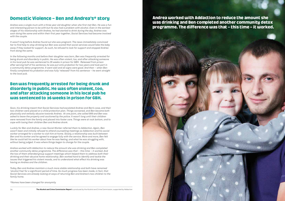# Domestic Violence – Ben and Andrea of Seery

*Andrea was a single mum with a three year old daughter when she first met Ben. He was a fun and interesting person to be with but he also had a problem with alcohol. Even in the earliest stages of his relationship with Andrea, he had started to drink during the day. Andrea was soon doing the same and within their first year together, Social Services had become involved with the couple.*

*It wasn't long before Andrea found out she was pregnant. The news immediately convinced her to find help to stop drinking but Ben was scared that social services would take the baby away if they looked for support. As such, he refused to look for support and stopped Andrea from doing the same.*

*In the following months and before their daughter was born, Ben was frequently arrested for being drunk and disorderly in public. He was often violent, too, and after attacking someone in his local pub he was sentenced to 26 weeks in prison for GBH. Released from prison after serving half of his sentence, he was put onto probation for two years and took part in a community detox programme. It went well and all signs were good. And then – when Ben finally completed his probation and was fully 'released' from his sentence – he went straight to the local pub.*

#### Ben was frequently arrested for being drunk and<br>disorderly in public. He was often violent, too, and after attacking someone in his local pub he was sentenced to 26 weeks in prison for GBH. was sentenced to 26 weeks in prison for GBH.

*Soon, his drinking meant that Social Services had escalated Andrea and Ben's case, and their two children were placed on a child protection plan. Things worsened, and Ben became both physically and verbally abusive towards Andrea. At one point, she called 999 and Ben was asked to leave the property and cautioned by the police. It wasn't long until their children were removed from the family and placed into foster care. Things were at rock bottom, and to cope with losing their children Ben and Andrea drank.*

*Luckily for Ben and Andrea, a new Social Worker referred them to Addaction. Again, Ben wasn't keen and initially refused to attend counselling meetings so Addaction and his social worker arranged for a worker to visit him at home. Slowly, a relationship was built between Ben and his worker and he agreed to engage fully with the service. More and more, Ben felt like he could tell his worker about how he was feeling, and what he was struggling with, without being judged. It was where things began to change for the couple.*

*Andrea worked with Addaction to reduce the amount she was drinking and Ben completed another community detox programme. The difference was that – this time – it worked. And the two of them attended group support meetings which helped them to address both their drinking and their abusive home relationship. Ben worked hard to identify and tackle the issues that triggered his violent moods, and to understand what effect his drinking was having on Andrea and the children.* 

*Today, Ben and Andrea maintain a much more stable relationship and both have remained 'alcohol free' for a significant period of time. So much progress has been made, in fact, that Social Services are already looking at ways of returning Ben and Andrea's two children to the family home.*

*\*Names have been changed for anonymity*

Andrea worked with Addaction to reduce the amount she uas drinking and Ben completed another community detox was driming and Ben completed and Ben community determines<br>hrogramme\_The difference was that \_ this time \_ it worked

34 The Alcohol and Crime Commission Report is produced by the Alcohol and Crime Commission, supported by Addaction

# programme. The difference was that the difference was that  $\mathcal{L} = \mathcal{L}$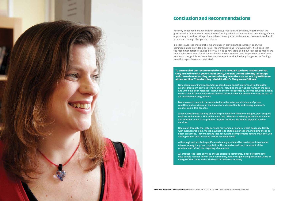

# Conclusion and Recommendations

Recently announced changes within prisons, probation and the NHS, together with the government's commitment towards transforming rehabilitation services, provide significant opportunity to address the problems that currently exist with alcohol treatment services in prison and through-the-gate on release.

#### To ensure that our recommendations are relevant we have made sure that<br>they are in line with government policy, the new commissioning landscape and the main overarching commissioning intentions as set out by NOMS (see ahoue section 'Transforming rehabilitation'). They are as follows: above section 'Transforming rehabilitation'). They are as follows:

In order to address these problems and gaps in provision that currently exist, the commission has provided a series of recommendations for government. It is hoped that the recommendations outlined below will lead to new tools being put in place to make sure that alcohol treatment for prisoners (inside and on release) is no longer seen as the 'poor relation' to drugs. It is an issue that simply cannot be sidelined any longer as the findings from this report have demonstrated.

**• Ne w commissioning arrangements should make specific reference to dedicated alcohol treatment services for prisoners, including those who are 'through the gate' and who have been released. Interventions more specifically tailored towards alcohol misuse should be developed and alcohol referral schemes should be set up as part of**

**• Mor e research needs to be conducted into the nature and delivery of prison resettlement services and the impact of not specifically addressing a person's**

**Alcohol awareness training should be provided for offender managers, peer support workers and mentors.This will ensure that offenders are being asked about alcohol and whether or not it is a problem.Support workers are able to signpost further**

**• Specialis t through-the-gate services for women prisoners, which deal specifically with alcohol problems, must be available to all female prisoners, including those on shor t sentences.The y must take into account the symptomatic nature of alcohol use**

- **all resettlement programmes.**
- **alcohol use in this process.**
- **services .**
- **among women and this issue's wider consequences.**
- **problem and inform the targeting of resources**
- **charge of their lives and at the heart of their own recovery.**

The Alcohol and Crime Commission Report is produced by the Alcohol and Crime Commission, supported by Addaction 37

**A thorough and alcohol-specific needs analysis should be carried out into alcohol misuse among the prison population.This would reveal the true extent of the**

**All through-the-gate services should prioritise community-based treatment to help people recover fully in their community,reduce stigma and put service users in**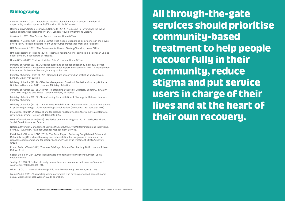# Bibliography

Alcohol Concern (2007). 'Factsheet: Tackling alcohol misuse in prison: a window of opportunity or a lost opportunity?' London, Alcohol Concern.

Berman, Gavin. Garton-Grimwood, Gabrielle (2012). "Reducing Re-offending: The 'what works' debate." Research Paper 12/71. London, House of Commons Library.

Corston, J (2007). 'The Corston Report.' London, Home Office.

Hartfree, Y. Dearden, C. Pound, E (2008). 'High hopes: Supporting ex-prisoners in their lives after prison.' Research Report No 59. London, Department for Work and Pensions.

HM Government (2012). 'The Governments Alcohol Strategy.' London, Home Office.

HM Inspectorate of Prisons (2010). 'Thematic report, Alcohol services in prisons: an unmet need.' London, Inspectorate of Prisons.

Home Office (2011). 'Nature of Violent Crime'. London, Home Office.

Ministry of Justice (2011a). 'Cost per place and costs per prisoner by individual person. National Offender Management Service Annual Report and Accounts 2010-11: Management Information Addendum.' London, Ministry of Justice.

Ministry of Justice. (2011b). '2011 Compendium of reoffending statistics and analysis.' London, Ministry of Justice.

Ministry of Justice (2012). 'Offender Management Caseload Statistics. Quarterly Bulletin October to December 2011.' London, Ministry of Justice.

Ministry of Justice (2013a). 'Proven Re-offending Statistics. Quarterly Bulletin. July 2010 – June 2011. England and Wales.' London, Ministry of Justice.

Ministry of Justice (2013b). 'Transforming Rehabilitation: A Strategy for Reform.' London, Ministry of Justice.

Ministry of Justice (2014). 'Transforming Rehabilitation Implementation Update' Available at: http://www.justice.gov.uk/transforming-rehabilitation. (Accessed: 28th January 2014)

McMurran, M (2011). 'Interventions for alcohol-related offending by women: a systematic review. ClinPsychol Review. Vol 31(6), 909-922.

NHS Information Centre (2012). 'Statistics on Alcohol: England, 2012'. Leeds, Health and Social Care Information Centre.

National Offender Management Service (NOMS) (2013). 'NOMS Commissioning Intentions. From 2014'. London, National Offender Management Service.

Patel, Lord of Bradford OBE (2010). 'The Patel Report. Reducing Drug Related Crime and Rehabilitating Offenders. Recovery and rehabilitation for drug users in prison and on release: recommendations for action.' London, Prison Drug Treatment Strategy Review Group.

Prison Reform Trust (2012). 'Bromley Briefings, Prisons Factfile. July 2012.' London, Prison Reform Trust.

Social Exclusion Unit (2002). 'Reducing Re-offending by ex prisoners.' London, Social Exclusion Unit.

Touhig, D (1998). 'A British all-party committee view on alcohol and violence.' Alcohol & Alcoholism. Vol 33, (1), 89 – 91.

Willott, S (2011). 'Alcohol: the real public health emergency.' Network, vol 32. 1-3.

Women's Aid (2011). 'Supporting women offenders who have experienced domestic and sexual violence.' Bristol, Women's Aid Federation.

All through-the-gate<br>services should prioritise community-based treatment to help people recover fully in their community, reduce stigma and put service users in charge of their lives and at the heart of lives and at the street of the heart of the heart of the heart of the street of the heart of the heart of the the internal contract of the internal contract of the internal contract of the internal contract of the internal contract of the internal contract of the internal contract of the internal contract of the internal contract